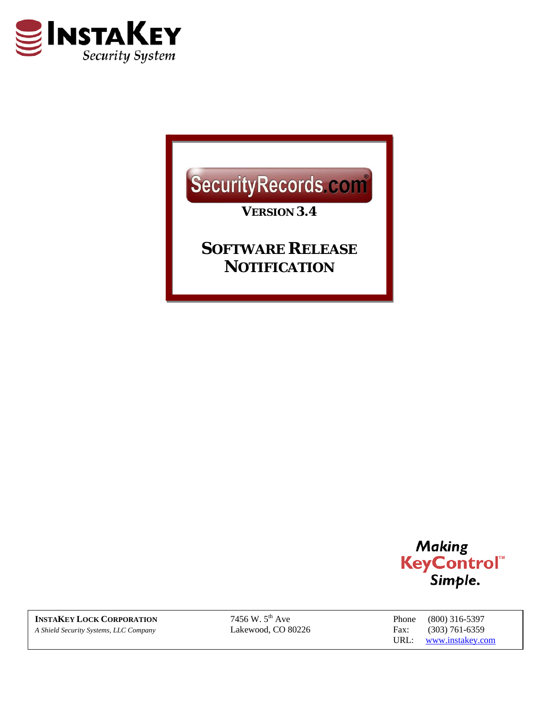

## SecurityRecords.com

*VERSION 3.4* 

*SOFTWARE RELEASE NOTIFICATION*



**INSTAKEY LOCK CORPORATION** 7456 W. 5<sup>th</sup> Ave Phone (800) 316-5397<br> *A Shield Security Systems, LLC Company* Lakewood, CO 80226 Fax: (303) 761-6359 *A Shield Security Systems, LLC Company* Lakewood, CO 80226 Fax: (303) 761-6359

URL: www.instakey.com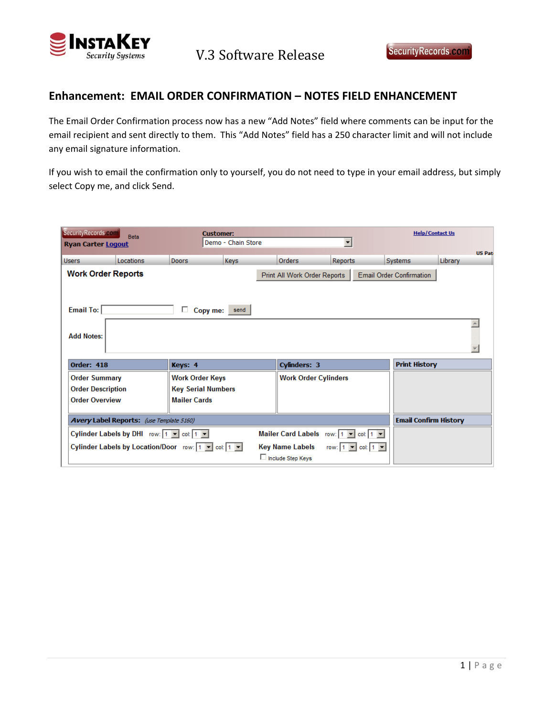

## **Enhancement: EMAIL ORDER CONFIRMATION – NOTES FIELD ENHANCEMENT**

The Email Order Confirmation process now has a new "Add Notes" field where comments can be input for the email recipient and sent directly to them. This "Add Notes" field has a 250 character limit and will not include any email signature information.

If you wish to email the confirmation only to yourself, you do not need to type in your email address, but simply select Copy me, and click Send.

| SecurityRecords.com<br>Beta<br><b>Ryan Carter Logout</b>                                                   |           |                           | <b>Customer:</b><br>Demo - Chain Store |                              |                             | <b>Help/Contact Us</b>          |                              |  |
|------------------------------------------------------------------------------------------------------------|-----------|---------------------------|----------------------------------------|------------------------------|-----------------------------|---------------------------------|------------------------------|--|
| <b>Users</b>                                                                                               | Locations | <b>Doors</b>              | Keys                                   | Orders                       | <b>Reports</b>              | Systems                         | <b>US Pat</b><br>Library     |  |
| <b>Work Order Reports</b>                                                                                  |           |                           |                                        | Print All Work Order Reports |                             | <b>Email Order Confirmation</b> |                              |  |
| <b>Email To:</b><br>П.<br>Copy me:<br>send                                                                 |           |                           |                                        |                              |                             |                                 |                              |  |
| <b>Add Notes:</b>                                                                                          |           |                           |                                        |                              |                             |                                 |                              |  |
| <b>Order: 418</b><br>Keys: 4                                                                               |           |                           |                                        |                              | <b>Cylinders: 3</b>         |                                 | <b>Print History</b>         |  |
| <b>Order Summary</b>                                                                                       |           | <b>Work Order Keys</b>    |                                        |                              | <b>Work Order Cylinders</b> |                                 |                              |  |
| <b>Order Description</b>                                                                                   |           | <b>Key Serial Numbers</b> |                                        |                              |                             |                                 |                              |  |
| <b>Order Overview</b>                                                                                      |           | <b>Mailer Cards</b>       |                                        |                              |                             |                                 |                              |  |
| <b>Avery Label Reports:</b> (use Template 5160)                                                            |           |                           |                                        |                              |                             |                                 | <b>Email Confirm History</b> |  |
| Cylinder Labels by DHI row: 1   ■ col: 1   ■<br>Mailer Card Labels row: 1   v   col:   1   v               |           |                           |                                        |                              |                             |                                 |                              |  |
| Cylinder Labels by Location/Door row: 1   col: 1   -<br><b>Key Name Labels</b><br>$\cosh 1 =$<br>row: $11$ |           |                           |                                        |                              |                             |                                 |                              |  |
| Include Step Keys                                                                                          |           |                           |                                        |                              |                             |                                 |                              |  |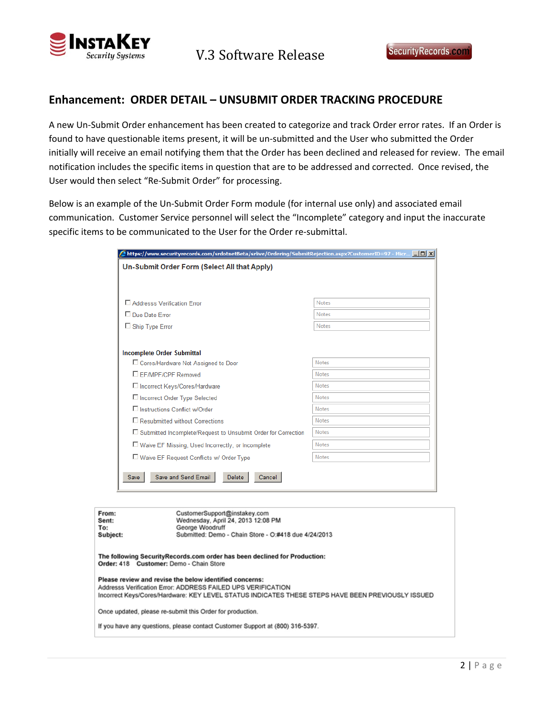

## **Enhancement: ORDER DETAIL – UNSUBMIT ORDER TRACKING PROCEDURE**

A new Un‐Submit Order enhancement has been created to categorize and track Order error rates. If an Order is found to have questionable items present, it will be un‐submitted and the User who submitted the Order initially will receive an email notifying them that the Order has been declined and released for review. The email notification includes the specific items in question that are to be addressed and corrected. Once revised, the User would then select "Re‐Submit Order" for processing.

Below is an example of the Un‐Submit Order Form module (for internal use only) and associated email communication. Customer Service personnel will select the "Incomplete" category and input the inaccurate specific items to be communicated to the User for the Order re-submittal.

| Buttps://www.securityrecords.com/srdotnetBeta/srlive/Ordering/SubmitRejection.aspx?CustomerID=97 - Micr  ■□× |              |  |  |  |  |
|--------------------------------------------------------------------------------------------------------------|--------------|--|--|--|--|
| Un-Submit Order Form (Select All that Apply)                                                                 |              |  |  |  |  |
|                                                                                                              |              |  |  |  |  |
|                                                                                                              |              |  |  |  |  |
| Addresss Verification Frror                                                                                  | <b>Notes</b> |  |  |  |  |
| □ Due Date Error                                                                                             | <b>Notes</b> |  |  |  |  |
| □ Ship Type Error                                                                                            | Notes        |  |  |  |  |
|                                                                                                              |              |  |  |  |  |
|                                                                                                              |              |  |  |  |  |
| <b>Incomplete Order Submittal</b>                                                                            |              |  |  |  |  |
| □ Cores/Hardware Not Assigned to Door                                                                        | Notes        |  |  |  |  |
| E FF/MPF/CPF Removed                                                                                         | Notes        |  |  |  |  |
| □ Incorrect Keys/Cores/Hardware                                                                              | <b>Notes</b> |  |  |  |  |
| □ Incorrect Order Type Selected                                                                              | <b>Notes</b> |  |  |  |  |
| □ Instructions Conflict w/Order                                                                              | <b>Notes</b> |  |  |  |  |
| $\Box$ Resubmitted without Corrections                                                                       | Notes        |  |  |  |  |
| □ Submitted Incomplete/Request to Unsubmit Order for Correction                                              | <b>Notes</b> |  |  |  |  |
| □ Waive EF Missing, Used Incorrectly, or Incomplete                                                          | Notes        |  |  |  |  |
| □ Waive EF Request Conflicts w/ Order Type                                                                   | <b>Notes</b> |  |  |  |  |
|                                                                                                              |              |  |  |  |  |
| Save and Send Email<br><b>Delete</b><br>Cancel<br>Save                                                       |              |  |  |  |  |
|                                                                                                              |              |  |  |  |  |

| From:<br>Sent:<br>To:<br>Subject:                                                                                                                                                                                            | CustomerSupport@instakey.com<br>Wednesday, April 24, 2013 12:08 PM<br>George Woodruff<br>Submitted: Demo - Chain Store - O:#418 due 4/24/2013 |  |  |  |
|------------------------------------------------------------------------------------------------------------------------------------------------------------------------------------------------------------------------------|-----------------------------------------------------------------------------------------------------------------------------------------------|--|--|--|
| The following SecurityRecords.com order has been declined for Production:<br>Order: 418 Customer: Demo - Chain Store                                                                                                         |                                                                                                                                               |  |  |  |
| Please review and revise the below identified concerns:<br>Addresss Verification Error: ADDRESS FAILED UPS VERIFICATION<br>Incorrect Keys/Cores/Hardware: KEY LEVEL STATUS INDICATES THESE STEPS HAVE BEEN PREVIOUSLY ISSUED |                                                                                                                                               |  |  |  |
| Once updated, please re-submit this Order for production.                                                                                                                                                                    |                                                                                                                                               |  |  |  |
| If you have any questions, please contact Customer Support at (800) 316-5397.                                                                                                                                                |                                                                                                                                               |  |  |  |